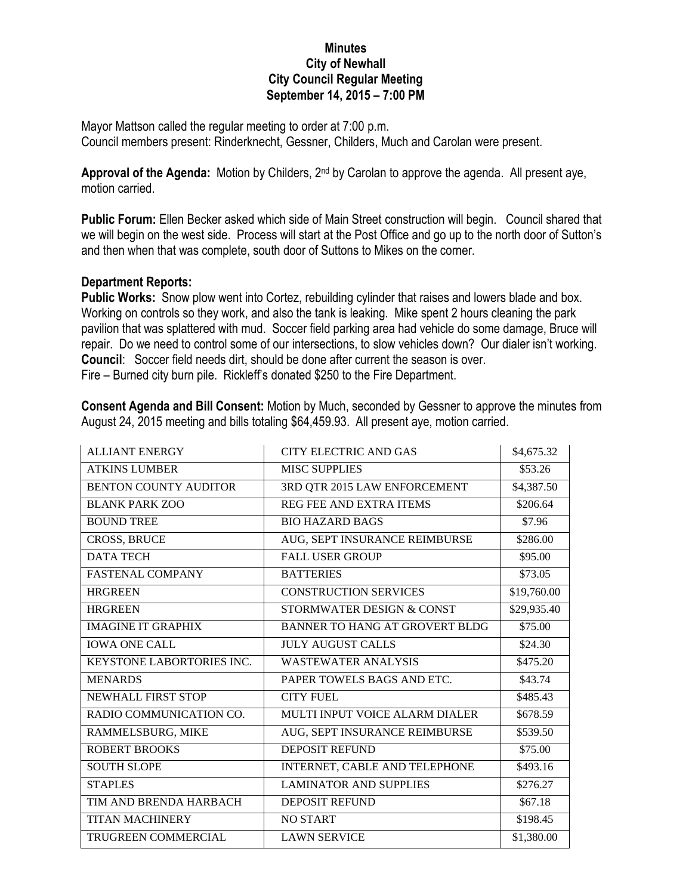## **Minutes City of Newhall City Council Regular Meeting September 14, 2015 – 7:00 PM**

Mayor Mattson called the regular meeting to order at 7:00 p.m. Council members present: Rinderknecht, Gessner, Childers, Much and Carolan were present.

**Approval of the Agenda:** Motion by Childers, 2nd by Carolan to approve the agenda. All present aye, motion carried.

**Public Forum:** Ellen Becker asked which side of Main Street construction will begin. Council shared that we will begin on the west side. Process will start at the Post Office and go up to the north door of Sutton's and then when that was complete, south door of Suttons to Mikes on the corner.

## **Department Reports:**

**Public Works:** Snow plow went into Cortez, rebuilding cylinder that raises and lowers blade and box. Working on controls so they work, and also the tank is leaking. Mike spent 2 hours cleaning the park pavilion that was splattered with mud. Soccer field parking area had vehicle do some damage, Bruce will repair. Do we need to control some of our intersections, to slow vehicles down? Our dialer isn't working. **Council**: Soccer field needs dirt, should be done after current the season is over. Fire – Burned city burn pile. Rickleff's donated \$250 to the Fire Department.

**Consent Agenda and Bill Consent:** Motion by Much, seconded by Gessner to approve the minutes from August 24, 2015 meeting and bills totaling \$64,459.93. All present aye, motion carried.

| <b>ALLIANT ENERGY</b>        | <b>CITY ELECTRIC AND GAS</b>          | \$4,675.32  |
|------------------------------|---------------------------------------|-------------|
| <b>ATKINS LUMBER</b>         | <b>MISC SUPPLIES</b>                  | \$53.26     |
| <b>BENTON COUNTY AUDITOR</b> | 3RD QTR 2015 LAW ENFORCEMENT          | \$4,387.50  |
| <b>BLANK PARK ZOO</b>        | REG FEE AND EXTRA ITEMS               | \$206.64    |
| <b>BOUND TREE</b>            | <b>BIO HAZARD BAGS</b>                | \$7.96      |
| <b>CROSS, BRUCE</b>          | AUG, SEPT INSURANCE REIMBURSE         | \$286.00    |
| <b>DATA TECH</b>             | <b>FALL USER GROUP</b>                | \$95.00     |
| <b>FASTENAL COMPANY</b>      | <b>BATTERIES</b>                      | \$73.05     |
| <b>HRGREEN</b>               | <b>CONSTRUCTION SERVICES</b>          | \$19,760.00 |
| <b>HRGREEN</b>               | STORMWATER DESIGN & CONST             | \$29,935.40 |
| <b>IMAGINE IT GRAPHIX</b>    | <b>BANNER TO HANG AT GROVERT BLDG</b> | \$75.00     |
| <b>IOWA ONE CALL</b>         | <b>JULY AUGUST CALLS</b>              | \$24.30     |
| KEYSTONE LABORTORIES INC.    | <b>WASTEWATER ANALYSIS</b>            | \$475.20    |
| <b>MENARDS</b>               | PAPER TOWELS BAGS AND ETC.            | \$43.74     |
| NEWHALL FIRST STOP           | <b>CITY FUEL</b>                      | \$485.43    |
| RADIO COMMUNICATION CO.      | MULTI INPUT VOICE ALARM DIALER        | \$678.59    |
| RAMMELSBURG, MIKE            | AUG, SEPT INSURANCE REIMBURSE         | \$539.50    |
| <b>ROBERT BROOKS</b>         | <b>DEPOSIT REFUND</b>                 | \$75.00     |
| <b>SOUTH SLOPE</b>           | INTERNET, CABLE AND TELEPHONE         | \$493.16    |
| <b>STAPLES</b>               | <b>LAMINATOR AND SUPPLIES</b>         | \$276.27    |
| TIM AND BRENDA HARBACH       | <b>DEPOSIT REFUND</b>                 | \$67.18     |
| <b>TITAN MACHINERY</b>       | <b>NO START</b>                       | \$198.45    |
| <b>TRUGREEN COMMERCIAL</b>   | <b>LAWN SERVICE</b>                   | \$1,380.00  |